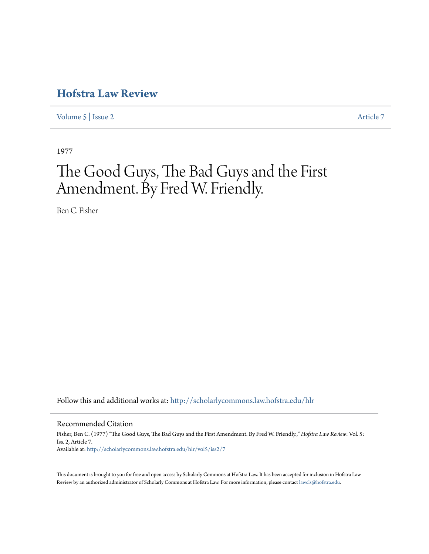## **[Hofstra Law Review](http://scholarlycommons.law.hofstra.edu/hlr?utm_source=scholarlycommons.law.hofstra.edu%2Fhlr%2Fvol5%2Fiss2%2F7&utm_medium=PDF&utm_campaign=PDFCoverPages)**

[Volume 5](http://scholarlycommons.law.hofstra.edu/hlr/vol5?utm_source=scholarlycommons.law.hofstra.edu%2Fhlr%2Fvol5%2Fiss2%2F7&utm_medium=PDF&utm_campaign=PDFCoverPages) | [Issue 2](http://scholarlycommons.law.hofstra.edu/hlr/vol5/iss2?utm_source=scholarlycommons.law.hofstra.edu%2Fhlr%2Fvol5%2Fiss2%2F7&utm_medium=PDF&utm_campaign=PDFCoverPages) [Article 7](http://scholarlycommons.law.hofstra.edu/hlr/vol5/iss2/7?utm_source=scholarlycommons.law.hofstra.edu%2Fhlr%2Fvol5%2Fiss2%2F7&utm_medium=PDF&utm_campaign=PDFCoverPages)

1977

## The Good Guys, The Bad Guys and the First Amendment. By Fred W. Friendly.

Ben C. Fisher

Follow this and additional works at: [http://scholarlycommons.law.hofstra.edu/hlr](http://scholarlycommons.law.hofstra.edu/hlr?utm_source=scholarlycommons.law.hofstra.edu%2Fhlr%2Fvol5%2Fiss2%2F7&utm_medium=PDF&utm_campaign=PDFCoverPages)

Recommended Citation

Fisher, Ben C. (1977) "The Good Guys, The Bad Guys and the First Amendment. By Fred W. Friendly.," *Hofstra Law Review*: Vol. 5: Iss. 2, Article 7. Available at: [http://scholarlycommons.law.hofstra.edu/hlr/vol5/iss2/7](http://scholarlycommons.law.hofstra.edu/hlr/vol5/iss2/7?utm_source=scholarlycommons.law.hofstra.edu%2Fhlr%2Fvol5%2Fiss2%2F7&utm_medium=PDF&utm_campaign=PDFCoverPages)

This document is brought to you for free and open access by Scholarly Commons at Hofstra Law. It has been accepted for inclusion in Hofstra Law Review by an authorized administrator of Scholarly Commons at Hofstra Law. For more information, please contact [lawcls@hofstra.edu](mailto:lawcls@hofstra.edu).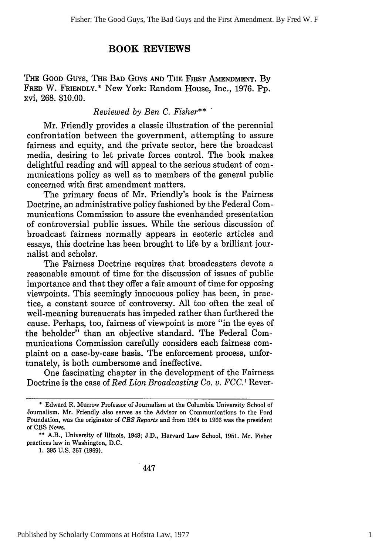## **BOOK REVIEWS**

THE GOOD Guys, THE BAD GuYs **AND** THE FIRST **AMENDMENT.** By **FRED** W. **FRIENDLY.\*** New York: Random House, Inc., 1976. Pp. xvi, 268. \$10.00.

## *Reviewed by Ben C. Fisher\*\**

Mr. Friendly provides a classic illustration of the perennial confrontation between the government, attempting to assure fairness and equity, and the private sector, here the broadcast media, desiring to let private forces control. The book makes delightful reading and will appeal to the serious student of communications policy as well as to members of the general public concerned with first amendment matters.

The primary focus of Mr. Friendly's book is the Fairness Doctrine, an administrative policy fashioned by the Federal Communications Commission to assure the evenhanded presentation of controversial public issues. While the serious discussion of broadcast fairness normally appears in esoteric articles and essays, this doctrine has been brought to life by a brilliant journalist and scholar.

The Fairness Doctrine requires that broadcasters devote a reasonable amount of time for the discussion of issues of public importance and that they offer a fair amount of time for opposing viewpoints. This seemingly innocuous policy has been, in practice, a constant source of controversy. All too often the zeal of well-meaning bureaucrats has impeded rather than furthered the cause. Perhaps, too, fairness of viewpoint is more "in the eyes of the beholder" than an objective standard. The Federal Communications Commission carefully considers each fairness complaint on a case-by-case basis. The enforcement process, unfortunately, is both cumbersome and ineffective.

One fascinating chapter in the development of the Fairness Doctrine is the case of *Red Lion Broadcasting Co. v. FCC. I* Rever-

**1. 395 U.S. 367** (1969).

**<sup>\*</sup>** Edward R. Murrow Professor of Journalism at the Columbia University School of Journalism. Mr. Friendly also serves as the Advisor on Communications to the Ford Foundation, was the originator of *CBS Reports* and from 1964 to 1966 was the president of CBS News.

<sup>\*\*</sup> A.B., University of Illinois, 1948; J.D., Harvard Law School, 1951. Mr. Fisher practices law in Washington, D.C.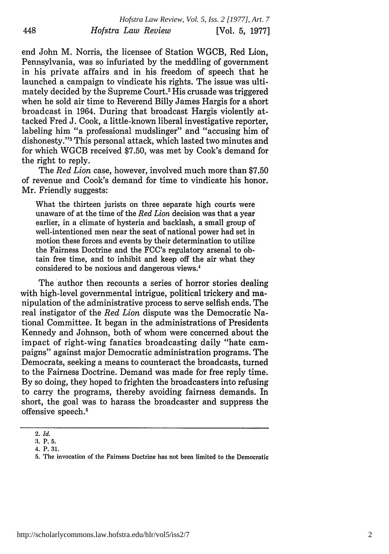end John M. Norris, the licensee of Station WGCB, Red Lion, Pennsylvania, was so infuriated by the meddling of government in his private affairs and in his freedom of speech that he launched a campaign to vindicate his rights. The issue was ultimately decided by the Supreme Court.<sup>2</sup> His crusade was triggered when he sold air time to Reverend Billy James Hargis for a short broadcast in 1964. During that broadcast Hargis violently attacked Fred J. Cook, a little-known liberal investigative reporter, labeling him "a professional mudslinger" and "accusing him of dishonesty."<sup>3</sup> This personal attack, which lasted two minutes and for which WGCB received \$7.50, was met by Cook's demand for the right to reply.

The *Red Lion* case, however, involved much more than \$7.50 of revenue and Cook's demand for time to vindicate his honor. Mr. Friendly suggests:

What the thirteen jurists on three separate high courts were unaware of at the time of the *Red Lion* decision was that a year earlier, in a climate of hysteria and backlash, a small group of well-intentioned men near the seat of national power had set in motion these forces and events by their determination to utilize the Fairness Doctrine and the FCC's regulatory arsenal to obtain free time, and to inhibit and keep off the air what they considered to be noxious and dangerous views.'

The author then recounts a series of horror stories dealing with high-level governmental intrigue, political trickery and manipulation of the administrative process to serve selfish ends. The real instigator of the *Red Lion* dispute was the Democratic National Committee. It began in the administrations of Presidents Kennedy and Johnson, both of whom were concerned about the impact of right-wing fanatics broadcasting daily "hate campaigns" against major Democratic administration programs. The Democrats, seeking a means to counteract the broadcasts, turned to the Fairness Doctrine. Demand was made for free reply time. By so doing, they hoped to frighten the broadcasters into refusing to carry the programs, thereby avoiding fairness demands. In short, the goal was to harass the broadcaster and suppress the offensive speech.<sup>5</sup>

448

<sup>2.</sup> *Id.*

**<sup>:3.</sup>** P. 5.

<sup>4.</sup> P. 31.

<sup>5.</sup> The invocation of the Fairness Doctrine has not been limited to the Democratic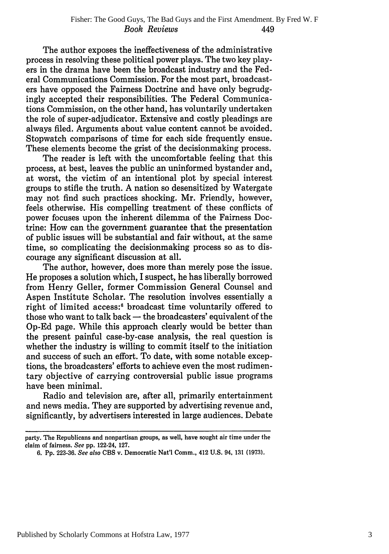The author exposes the ineffectiveness of the administrative process in resolving these political power plays. The two key players in the drama have been the broadcast industry and the Federal Communications Commission. For the most part, broadcasters have opposed the Fairness Doctrine and have only begrudgingly accepted their responsibilities. The Federal Communications Commission, on the other hand, has voluntarily undertaken the role of super-adjudicator. Extensive and costly pleadings are always filed. Arguments about value content cannot be avoided. Stopwatch comparisons of time for each side frequently ensue. These elements become the grist of the decisionmaking process.

The reader is left with the uncomfortable feeling that this process, at best, leaves the public an uninformed bystander and, at worst, the victim of an intentional plot by special interest groups to stifle the truth. A nation so desensitized by Watergate may not find such practices shocking. Mr. Friendly, however, feels otherwise. His compelling treatment of these conflicts of power focuses upon the inherent dilemma of the Fairness Doctrine: How can the government guarantee that the presentation of public issues will be substantial and fair without, at the same time, so complicating the decisionmaking process so as to discourage any significant discussion at all.

The author, however, does more than merely pose the issue. He proposes a solution which, I suspect, he has liberally borrowed from Henry Geller, former Commission General Counsel and Aspen Institute Scholar. The resolution involves essentially a right of limited access:<sup>6</sup> broadcast time voluntarily offered to those who want to talk back **-** the broadcasters' equivalent of the Op-Ed page. While this approach clearly would be better than the present painful case-by-case analysis, the real question is whether the industry is willing to commit itself to the initiation and success of such an effort. To date, with some notable exceptions, the broadcasters' efforts to achieve even the most rudimentary objective of carrying controversial public issue programs have been minimal.

Radio and television are, after all, primarily entertainment and news media. They are supported by advertising revenue and, significantly, by advertisers interested in large audiences. Debate

party. The Republicans and nonpartisan groups, as well, have sought air time under the claim of fairness. See **pp.** 122-24, **127.**

**<sup>6.</sup> Pp. 223-36.** See also **CBS** v. Democratic Nat'l Comm., 412 **U.S.** 94, **131 (1973).**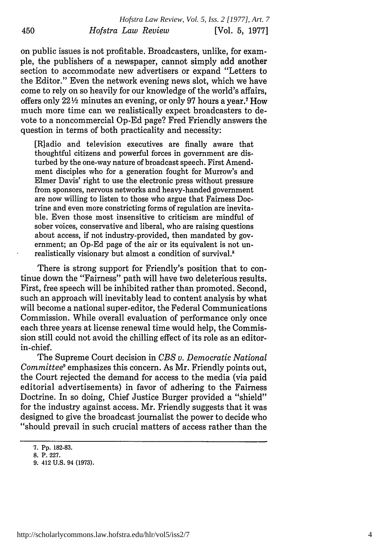on public issues is not profitable. Broadcasters, unlike, for example, the publishers of a newspaper, cannot simply add another section to accommodate new advertisers or expand "Letters to the Editor." Even the network evening news slot, which we have come to rely on so heavily for our knowledge of the world's affairs, offers only 221/2 minutes an evening, or only 97 hours a year.7 How much more time can we realistically expect broadcasters to devote to a noncommercial Op-Ed page? Fred Friendly answers the question in terms of both practicality and necessity:

[R]adio and television executives are finally aware that thoughtful citizens and powerful forces in government are disturbed by the one-way nature of broadcast speech. First Amendment disciples who for a generation fought for Murrow's and Elmer Davis' right to use the electronic press without pressure from sponsors, nervous networks and heavy-handed government are now willing to listen to those who argue that Fairness Doctrine and even more constricting forms of regulation are inevitable. Even those most insensitive to criticism are mindful of sober voices, conservative and liberal, who are raising questions about access, if not industry-provided, then mandated by government; an Op-Ed page of the air or its equivalent is not unrealistically visionary but almost a condition of survival.<sup>8</sup>

There is strong support for Friendly's position that to continue down the "Fairness" path will have two deleterious results. First, free speech will be inhibited rather than promoted. Second, such an approach will inevitably lead to content analysis by what will become a national super-editor, the Federal Communications Commission. While overall evaluation of performance only once each three years at license renewal time would help, the Commission still could not avoid the chilling effect of its role as an editorin-chief.

The Supreme Court decision in *CBS v. Democratic National Committee'* emphasizes this concern. As Mr. Friendly points out, the Court rejected the demand for access to the media (via paid editorial advertisements) in favor of adhering to the Fairness Doctrine. In so doing, Chief Justice Burger provided a "shield" for the industry against access. Mr. Friendly suggests that it was designed to give the broadcast journalist the power to decide who "should prevail in such crucial matters of access rather than the

<sup>7.</sup> Pp. 182-83.

**<sup>8.</sup>** P. 227.

<sup>9. 412</sup> U.S. 94 (1973).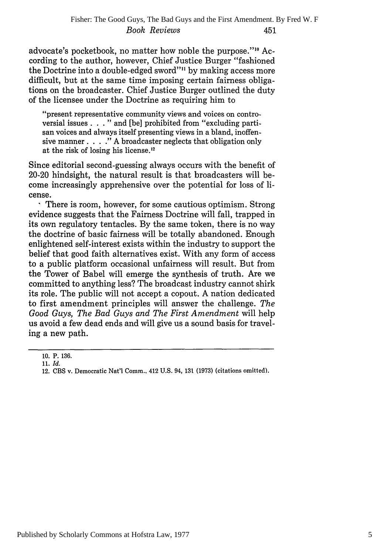advocate's pocketbook, no matter how noble the purpose.""' According to the author, however, Chief Justice Burger "fashioned the Doctrine into a double-edged sword"" by making access more difficult, but at the same time imposing certain fairness obligations on the broadcaster. Chief Justice Burger outlined the duty of the licensee under the Doctrine as requiring him to

"present representative community views and voices on controversial issues **. .** ." and [be] prohibited from "excluding partisan voices and always itself presenting views in a bland, inoffensive manner. . **. ."** A broadcaster neglects that obligation only at the risk of losing his license.<sup>12</sup>

Since editorial second-guessing always occurs with the benefit of 20-20 hindsight, the natural result is that broadcasters will become increasingly apprehensive over the potential for loss of license.

There is room, however, for some cautious optimism. Strong evidence suggests that the Fairness Doctrine will fall, trapped in its own regulatory tentacles. By the same token, there is no way the doctrine of basic fairness will be totally abandoned. Enough enlightened self-interest exists within the industry to support the belief that good faith alternatives exist. With any form of access to a public platform occasional unfairness will result. But from the Tower of Babel will emerge the synthesis of truth. Are we committed to anything less? The broadcast industry cannot shirk its role. The public will not accept a copout. A nation dedicated to first amendment principles will answer the challenge. *The Good Guys, The Bad Guys and The First Amendment* will help us avoid a few dead ends and will give us a sound basis for traveling a new path.

<sup>10.</sup> P. 136.

<sup>11.</sup> *Id.*

<sup>12.</sup> CBS v. Democratic Nat'l Comm., 412 U.S. 94, 131 (1973) (citations omitted).